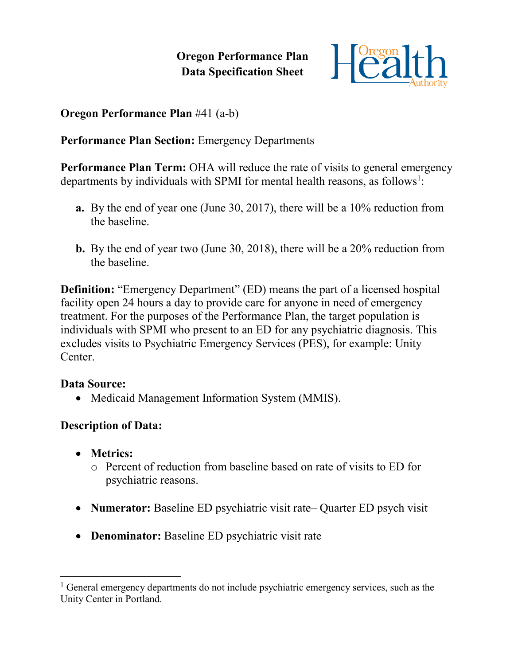**Oregon Performance Plan Data Specification Sheet**



**Oregon Performance Plan** #41 (a-b)

**Performance Plan Section:** Emergency Departments

**Performance Plan Term:** OHA will reduce the rate of visits to general emergency departments by individuals with SPMI for mental health reasons, as follows<sup>1</sup>:

- **a.** By the end of year one (June 30, 2017), there will be a 10% reduction from the baseline.
- **b.** By the end of year two (June 30, 2018), there will be a 20% reduction from the baseline.

**Definition:** "Emergency Department" (ED) means the part of a licensed hospital facility open 24 hours a day to provide care for anyone in need of emergency treatment. For the purposes of the Performance Plan, the target population is individuals with SPMI who present to an ED for any psychiatric diagnosis. This excludes visits to Psychiatric Emergency Services (PES), for example: Unity Center.

## **Data Source:**

• Medicaid Management Information System (MMIS).

## **Description of Data:**

- **Metrics:**
	- o Percent of reduction from baseline based on rate of visits to ED for psychiatric reasons.
- **Numerator:** Baseline ED psychiatric visit rate– Quarter ED psych visit
- **Denominator:** Baseline ED psychiatric visit rate

 $\overline{a}$ <sup>1</sup> General emergency departments do not include psychiatric emergency services, such as the Unity Center in Portland.